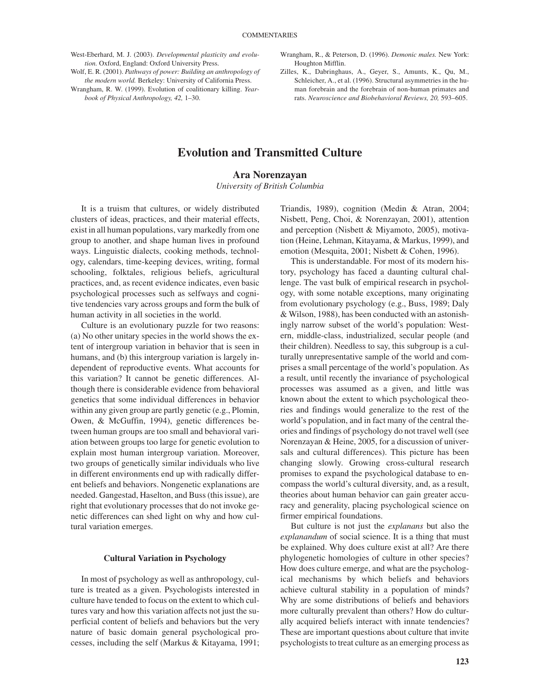West-Eberhard, M. J. (2003). *Developmental plasticity and evolution.* Oxford, England: Oxford University Press.

Wolf, E. R. (2001). *Pathways of power: Building an anthropology of the modern world.* Berkeley: University of California Press.

Wrangham, R. W. (1999). Evolution of coalitionary killing. *Yearbook of Physical Anthropology, 42,* 1–30.

- Wrangham, R., & Peterson, D. (1996). *Demonic males.* New York: Houghton Mifflin.
- Zilles, K., Dabringhaus, A., Geyer, S., Amunts, K., Qu, M., Schleicher, A., et al. (1996). Structural asymmetries in the human forebrain and the forebrain of non-human primates and rats. *Neuroscience and Biobehavioral Reviews, 20,* 593–605.

## **Evolution and Transmitted Culture**

## **Ara Norenzayan**

*University of British Columbia*

It is a truism that cultures, or widely distributed clusters of ideas, practices, and their material effects, exist in all human populations, vary markedly from one group to another, and shape human lives in profound ways. Linguistic dialects, cooking methods, technology, calendars, time-keeping devices, writing, formal schooling, folktales, religious beliefs, agricultural practices, and, as recent evidence indicates, even basic psychological processes such as selfways and cognitive tendencies vary across groups and form the bulk of human activity in all societies in the world.

Culture is an evolutionary puzzle for two reasons: (a) No other unitary species in the world shows the extent of intergroup variation in behavior that is seen in humans, and (b) this intergroup variation is largely independent of reproductive events. What accounts for this variation? It cannot be genetic differences. Although there is considerable evidence from behavioral genetics that some individual differences in behavior within any given group are partly genetic (e.g., Plomin, Owen, & McGuffin, 1994), genetic differences between human groups are too small and behavioral variation between groups too large for genetic evolution to explain most human intergroup variation. Moreover, two groups of genetically similar individuals who live in different environments end up with radically different beliefs and behaviors. Nongenetic explanations are needed. Gangestad, Haselton, and Buss (this issue), are right that evolutionary processes that do not invoke genetic differences can shed light on why and how cultural variation emerges.

#### **Cultural Variation in Psychology**

In most of psychology as well as anthropology, culture is treated as a given. Psychologists interested in culture have tended to focus on the extent to which cultures vary and how this variation affects not just the superficial content of beliefs and behaviors but the very nature of basic domain general psychological processes, including the self (Markus & Kitayama, 1991; Triandis, 1989), cognition (Medin & Atran, 2004; Nisbett, Peng, Choi, & Norenzayan, 2001), attention and perception (Nisbett & Miyamoto, 2005), motivation (Heine, Lehman, Kitayama, & Markus, 1999), and emotion (Mesquita, 2001; Nisbett & Cohen, 1996).

This is understandable. For most of its modern history, psychology has faced a daunting cultural challenge. The vast bulk of empirical research in psychology, with some notable exceptions, many originating from evolutionary psychology (e.g., Buss, 1989; Daly & Wilson, 1988), has been conducted with an astonishingly narrow subset of the world's population: Western, middle-class, industrialized, secular people (and their children). Needless to say, this subgroup is a culturally unrepresentative sample of the world and comprises a small percentage of the world's population. As a result, until recently the invariance of psychological processes was assumed as a given, and little was known about the extent to which psychological theories and findings would generalize to the rest of the world's population, and in fact many of the central theories and findings of psychology do not travel well (see Norenzayan & Heine, 2005, for a discussion of universals and cultural differences). This picture has been changing slowly. Growing cross-cultural research promises to expand the psychological database to encompass the world's cultural diversity, and, as a result, theories about human behavior can gain greater accuracy and generality, placing psychological science on firmer empirical foundations.

But culture is not just the *explanans* but also the *explanandum* of social science. It is a thing that must be explained. Why does culture exist at all? Are there phylogenetic homologies of culture in other species? How does culture emerge, and what are the psychological mechanisms by which beliefs and behaviors achieve cultural stability in a population of minds? Why are some distributions of beliefs and behaviors more culturally prevalent than others? How do culturally acquired beliefs interact with innate tendencies? These are important questions about culture that invite psychologists to treat culture as an emerging process as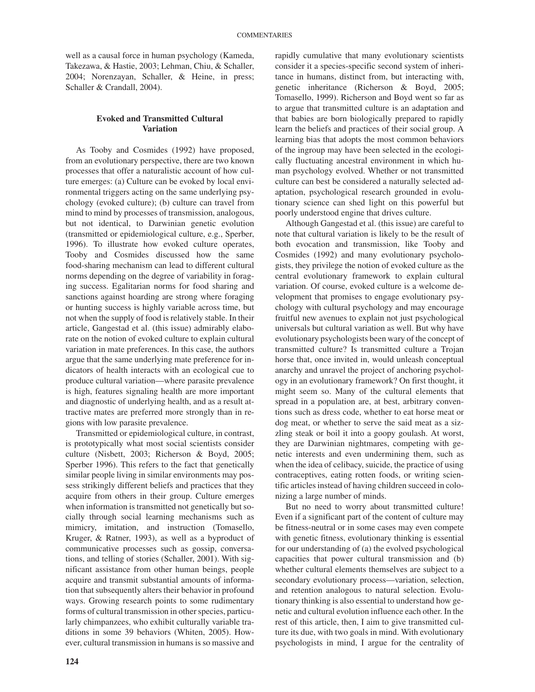well as a causal force in human psychology (Kameda, Takezawa, & Hastie, 2003; Lehman, Chiu, & Schaller, 2004; Norenzayan, Schaller, & Heine, in press; Schaller & Crandall, 2004).

## **Evoked and Transmitted Cultural Variation**

As Tooby and Cosmides (1992) have proposed, from an evolutionary perspective, there are two known processes that offer a naturalistic account of how culture emerges: (a) Culture can be evoked by local environmental triggers acting on the same underlying psychology (evoked culture); (b) culture can travel from mind to mind by processes of transmission, analogous, but not identical, to Darwinian genetic evolution (transmitted or epidemiological culture, e.g., Sperber, 1996). To illustrate how evoked culture operates, Tooby and Cosmides discussed how the same food-sharing mechanism can lead to different cultural norms depending on the degree of variability in foraging success. Egalitarian norms for food sharing and sanctions against hoarding are strong where foraging or hunting success is highly variable across time, but not when the supply of food is relatively stable. In their article, Gangestad et al. (this issue) admirably elaborate on the notion of evoked culture to explain cultural variation in mate preferences. In this case, the authors argue that the same underlying mate preference for indicators of health interacts with an ecological cue to produce cultural variation—where parasite prevalence is high, features signaling health are more important and diagnostic of underlying health, and as a result attractive mates are preferred more strongly than in regions with low parasite prevalence.

Transmitted or epidemiological culture, in contrast, is prototypically what most social scientists consider culture (Nisbett, 2003; Richerson & Boyd, 2005; Sperber 1996). This refers to the fact that genetically similar people living in similar environments may possess strikingly different beliefs and practices that they acquire from others in their group. Culture emerges when information is transmitted not genetically but socially through social learning mechanisms such as mimicry, imitation, and instruction (Tomasello, Kruger, & Ratner, 1993), as well as a byproduct of communicative processes such as gossip, conversations, and telling of stories (Schaller, 2001). With significant assistance from other human beings, people acquire and transmit substantial amounts of information that subsequently alters their behavior in profound ways. Growing research points to some rudimentary forms of cultural transmission in other species, particularly chimpanzees, who exhibit culturally variable traditions in some 39 behaviors (Whiten, 2005). However, cultural transmission in humans is so massive and rapidly cumulative that many evolutionary scientists consider it a species-specific second system of inheritance in humans, distinct from, but interacting with, genetic inheritance (Richerson & Boyd, 2005; Tomasello, 1999). Richerson and Boyd went so far as to argue that transmitted culture is an adaptation and that babies are born biologically prepared to rapidly learn the beliefs and practices of their social group. A learning bias that adopts the most common behaviors of the ingroup may have been selected in the ecologically fluctuating ancestral environment in which human psychology evolved. Whether or not transmitted culture can best be considered a naturally selected adaptation, psychological research grounded in evolutionary science can shed light on this powerful but poorly understood engine that drives culture.

Although Gangestad et al. (this issue) are careful to note that cultural variation is likely to be the result of both evocation and transmission, like Tooby and Cosmides (1992) and many evolutionary psychologists, they privilege the notion of evoked culture as the central evolutionary framework to explain cultural variation. Of course, evoked culture is a welcome development that promises to engage evolutionary psychology with cultural psychology and may encourage fruitful new avenues to explain not just psychological universals but cultural variation as well. But why have evolutionary psychologists been wary of the concept of transmitted culture? Is transmitted culture a Trojan horse that, once invited in, would unleash conceptual anarchy and unravel the project of anchoring psychology in an evolutionary framework? On first thought, it might seem so. Many of the cultural elements that spread in a population are, at best, arbitrary conventions such as dress code, whether to eat horse meat or dog meat, or whether to serve the said meat as a sizzling steak or boil it into a goopy goulash. At worst, they are Darwinian nightmares, competing with genetic interests and even undermining them, such as when the idea of celibacy, suicide, the practice of using contraceptives, eating rotten foods, or writing scientific articles instead of having children succeed in colonizing a large number of minds.

But no need to worry about transmitted culture! Even if a significant part of the content of culture may be fitness-neutral or in some cases may even compete with genetic fitness, evolutionary thinking is essential for our understanding of (a) the evolved psychological capacities that power cultural transmission and (b) whether cultural elements themselves are subject to a secondary evolutionary process—variation, selection, and retention analogous to natural selection. Evolutionary thinking is also essential to understand how genetic and cultural evolution influence each other. In the rest of this article, then, I aim to give transmitted culture its due, with two goals in mind. With evolutionary psychologists in mind, I argue for the centrality of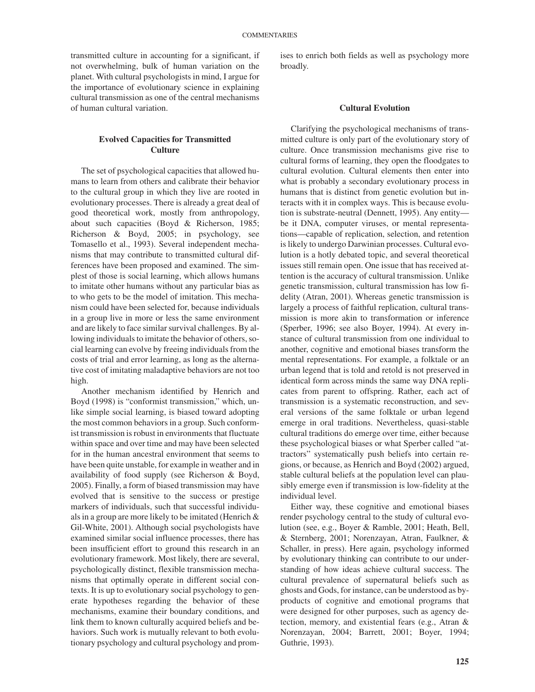transmitted culture in accounting for a significant, if not overwhelming, bulk of human variation on the planet. With cultural psychologists in mind, I argue for the importance of evolutionary science in explaining cultural transmission as one of the central mechanisms of human cultural variation.

## **Evolved Capacities for Transmitted Culture**

The set of psychological capacities that allowed humans to learn from others and calibrate their behavior to the cultural group in which they live are rooted in evolutionary processes. There is already a great deal of good theoretical work, mostly from anthropology, about such capacities (Boyd & Richerson, 1985; Richerson & Boyd, 2005; in psychology, see Tomasello et al., 1993). Several independent mechanisms that may contribute to transmitted cultural differences have been proposed and examined. The simplest of those is social learning, which allows humans to imitate other humans without any particular bias as to who gets to be the model of imitation. This mechanism could have been selected for, because individuals in a group live in more or less the same environment and are likely to face similar survival challenges. By allowing individuals to imitate the behavior of others, social learning can evolve by freeing individuals from the costs of trial and error learning, as long as the alternative cost of imitating maladaptive behaviors are not too high.

Another mechanism identified by Henrich and Boyd (1998) is "conformist transmission," which, unlike simple social learning, is biased toward adopting the most common behaviors in a group. Such conformist transmission is robust in environments that fluctuate within space and over time and may have been selected for in the human ancestral environment that seems to have been quite unstable, for example in weather and in availability of food supply (see Richerson & Boyd, 2005). Finally, a form of biased transmission may have evolved that is sensitive to the success or prestige markers of individuals, such that successful individuals in a group are more likely to be imitated (Henrich & Gil-White, 2001). Although social psychologists have examined similar social influence processes, there has been insufficient effort to ground this research in an evolutionary framework. Most likely, there are several, psychologically distinct, flexible transmission mechanisms that optimally operate in different social contexts. It is up to evolutionary social psychology to generate hypotheses regarding the behavior of these mechanisms, examine their boundary conditions, and link them to known culturally acquired beliefs and behaviors. Such work is mutually relevant to both evolutionary psychology and cultural psychology and promises to enrich both fields as well as psychology more broadly.

#### **Cultural Evolution**

Clarifying the psychological mechanisms of transmitted culture is only part of the evolutionary story of culture. Once transmission mechanisms give rise to cultural forms of learning, they open the floodgates to cultural evolution. Cultural elements then enter into what is probably a secondary evolutionary process in humans that is distinct from genetic evolution but interacts with it in complex ways. This is because evolution is substrate-neutral (Dennett, 1995). Any entity be it DNA, computer viruses, or mental representations—capable of replication, selection, and retention is likely to undergo Darwinian processes. Cultural evolution is a hotly debated topic, and several theoretical issues still remain open. One issue that has received attention is the accuracy of cultural transmission. Unlike genetic transmission, cultural transmission has low fidelity (Atran, 2001). Whereas genetic transmission is largely a process of faithful replication, cultural transmission is more akin to transformation or inference (Sperber, 1996; see also Boyer, 1994). At every instance of cultural transmission from one individual to another, cognitive and emotional biases transform the mental representations. For example, a folktale or an urban legend that is told and retold is not preserved in identical form across minds the same way DNA replicates from parent to offspring. Rather, each act of transmission is a systematic reconstruction, and several versions of the same folktale or urban legend emerge in oral traditions. Nevertheless, quasi-stable cultural traditions do emerge over time, either because these psychological biases or what Sperber called "attractors" systematically push beliefs into certain regions, or because, as Henrich and Boyd (2002) argued, stable cultural beliefs at the population level can plausibly emerge even if transmission is low-fidelity at the individual level.

Either way, these cognitive and emotional biases render psychology central to the study of cultural evolution (see, e.g., Boyer & Ramble, 2001; Heath, Bell, & Sternberg, 2001; Norenzayan, Atran, Faulkner, & Schaller, in press). Here again, psychology informed by evolutionary thinking can contribute to our understanding of how ideas achieve cultural success. The cultural prevalence of supernatural beliefs such as ghosts and Gods, for instance, can be understood as byproducts of cognitive and emotional programs that were designed for other purposes, such as agency detection, memory, and existential fears (e.g., Atran & Norenzayan, 2004; Barrett, 2001; Boyer, 1994; Guthrie, 1993).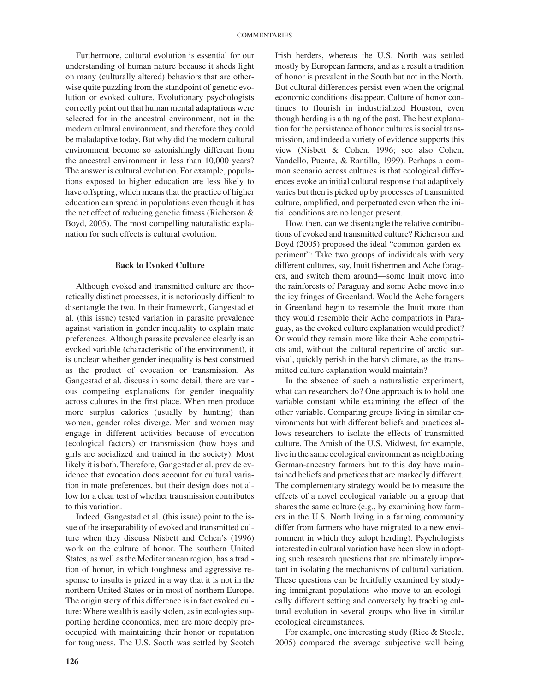Furthermore, cultural evolution is essential for our understanding of human nature because it sheds light on many (culturally altered) behaviors that are otherwise quite puzzling from the standpoint of genetic evolution or evoked culture. Evolutionary psychologists correctly point out that human mental adaptations were selected for in the ancestral environment, not in the modern cultural environment, and therefore they could be maladaptive today. But why did the modern cultural environment become so astonishingly different from the ancestral environment in less than 10,000 years? The answer is cultural evolution. For example, populations exposed to higher education are less likely to have offspring, which means that the practice of higher education can spread in populations even though it has the net effect of reducing genetic fitness (Richerson & Boyd, 2005). The most compelling naturalistic explanation for such effects is cultural evolution.

#### **Back to Evoked Culture**

Although evoked and transmitted culture are theoretically distinct processes, it is notoriously difficult to disentangle the two. In their framework, Gangestad et al. (this issue) tested variation in parasite prevalence against variation in gender inequality to explain mate preferences. Although parasite prevalence clearly is an evoked variable (characteristic of the environment), it is unclear whether gender inequality is best construed as the product of evocation or transmission. As Gangestad et al. discuss in some detail, there are various competing explanations for gender inequality across cultures in the first place. When men produce more surplus calories (usually by hunting) than women, gender roles diverge. Men and women may engage in different activities because of evocation (ecological factors) or transmission (how boys and girls are socialized and trained in the society). Most likely it is both. Therefore, Gangestad et al. provide evidence that evocation does account for cultural variation in mate preferences, but their design does not allow for a clear test of whether transmission contributes to this variation.

Indeed, Gangestad et al. (this issue) point to the issue of the inseparability of evoked and transmitted culture when they discuss Nisbett and Cohen's (1996) work on the culture of honor. The southern United States, as well as the Mediterranean region, has a tradition of honor, in which toughness and aggressive response to insults is prized in a way that it is not in the northern United States or in most of northern Europe. The origin story of this difference is in fact evoked culture: Where wealth is easily stolen, as in ecologies supporting herding economies, men are more deeply preoccupied with maintaining their honor or reputation for toughness. The U.S. South was settled by Scotch Irish herders, whereas the U.S. North was settled mostly by European farmers, and as a result a tradition of honor is prevalent in the South but not in the North. But cultural differences persist even when the original economic conditions disappear. Culture of honor continues to flourish in industrialized Houston, even though herding is a thing of the past. The best explanation for the persistence of honor cultures is social transmission, and indeed a variety of evidence supports this view (Nisbett & Cohen, 1996; see also Cohen, Vandello, Puente, & Rantilla, 1999). Perhaps a common scenario across cultures is that ecological differences evoke an initial cultural response that adaptively varies but then is picked up by processes of transmitted culture, amplified, and perpetuated even when the initial conditions are no longer present.

How, then, can we disentangle the relative contributions of evoked and transmitted culture? Richerson and Boyd (2005) proposed the ideal "common garden experiment": Take two groups of individuals with very different cultures, say, Inuit fishermen and Ache foragers, and switch them around—some Inuit move into the rainforests of Paraguay and some Ache move into the icy fringes of Greenland. Would the Ache foragers in Greenland begin to resemble the Inuit more than they would resemble their Ache compatriots in Paraguay, as the evoked culture explanation would predict? Or would they remain more like their Ache compatriots and, without the cultural repertoire of arctic survival, quickly perish in the harsh climate, as the transmitted culture explanation would maintain?

In the absence of such a naturalistic experiment, what can researchers do? One approach is to hold one variable constant while examining the effect of the other variable. Comparing groups living in similar environments but with different beliefs and practices allows researchers to isolate the effects of transmitted culture. The Amish of the U.S. Midwest, for example, live in the same ecological environment as neighboring German-ancestry farmers but to this day have maintained beliefs and practices that are markedly different. The complementary strategy would be to measure the effects of a novel ecological variable on a group that shares the same culture (e.g., by examining how farmers in the U.S. North living in a farming community differ from farmers who have migrated to a new environment in which they adopt herding). Psychologists interested in cultural variation have been slow in adopting such research questions that are ultimately important in isolating the mechanisms of cultural variation. These questions can be fruitfully examined by studying immigrant populations who move to an ecologically different setting and conversely by tracking cultural evolution in several groups who live in similar ecological circumstances.

For example, one interesting study (Rice & Steele, 2005) compared the average subjective well being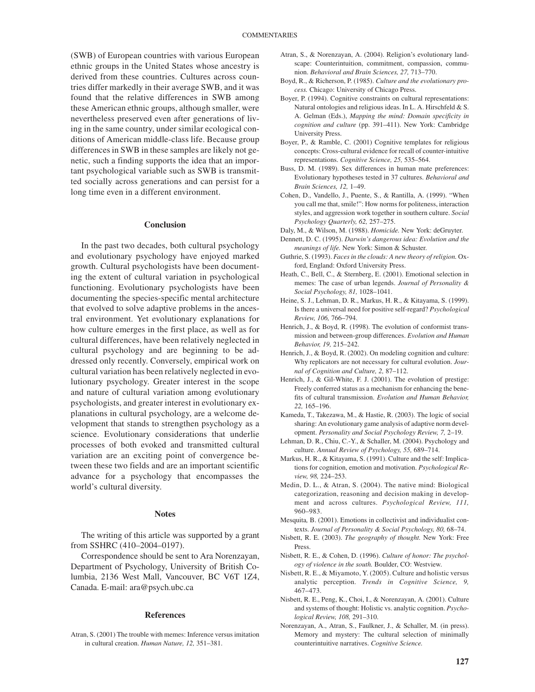(SWB) of European countries with various European ethnic groups in the United States whose ancestry is derived from these countries. Cultures across countries differ markedly in their average SWB, and it was found that the relative differences in SWB among these American ethnic groups, although smaller, were nevertheless preserved even after generations of living in the same country, under similar ecological conditions of American middle-class life. Because group differences in SWB in these samples are likely not genetic, such a finding supports the idea that an important psychological variable such as SWB is transmitted socially across generations and can persist for a long time even in a different environment.

#### **Conclusion**

In the past two decades, both cultural psychology and evolutionary psychology have enjoyed marked growth. Cultural psychologists have been documenting the extent of cultural variation in psychological functioning. Evolutionary psychologists have been documenting the species-specific mental architecture that evolved to solve adaptive problems in the ancestral environment. Yet evolutionary explanations for how culture emerges in the first place, as well as for cultural differences, have been relatively neglected in cultural psychology and are beginning to be addressed only recently. Conversely, empirical work on cultural variation has been relatively neglected in evolutionary psychology. Greater interest in the scope and nature of cultural variation among evolutionary psychologists, and greater interest in evolutionary explanations in cultural psychology, are a welcome development that stands to strengthen psychology as a science. Evolutionary considerations that underlie processes of both evoked and transmitted cultural variation are an exciting point of convergence between these two fields and are an important scientific advance for a psychology that encompasses the world's cultural diversity.

#### **Notes**

The writing of this article was supported by a grant from SSHRC (410–2004–0197).

Correspondence should be sent to Ara Norenzayan, Department of Psychology, University of British Columbia, 2136 West Mall, Vancouver, BC V6T 1Z4, Canada. E-mail: ara@psych.ubc.ca

#### **References**

Atran, S. (2001) The trouble with memes: Inference versus imitation in cultural creation. *Human Nature, 12,* 351–381.

- Atran, S., & Norenzayan, A. (2004). Religion's evolutionary landscape: Counterintuition, commitment, compassion, communion. *Behavioral and Brain Sciences, 27,* 713–770.
- Boyd, R., & Richerson, P. (1985). *Culture and the evolutionary process.* Chicago: University of Chicago Press.
- Boyer, P. (1994). Cognitive constraints on cultural representations: Natural ontologies and religious ideas. In L. A. Hirschfeld & S. A. Gelman (Eds.), *Mapping the mind: Domain specificity in cognition and culture* (pp. 391–411). New York: Cambridge University Press.
- Boyer, P., & Ramble, C. (2001) Cognitive templates for religious concepts: Cross-cultural evidence for recall of counter-intuitive representations. *Cognitive Science, 25,* 535–564.
- Buss, D. M. (1989). Sex differences in human mate preferences: Evolutionary hypotheses tested in 37 cultures. *Behavioral and Brain Sciences, 12,* 1–49.
- Cohen, D., Vandello, J., Puente, S., & Rantilla, A. (1999). "When you call me that, smile!": How norms for politeness, interaction styles, and aggression work together in southern culture. *Social Psychology Quarterly, 62,* 257–275.
- Daly, M., & Wilson, M. (1988). *Homicide.* New York: deGruyter.
- Dennett, D. C. (1995). *Darwin's dangerous idea: Evolution and the meanings of life.* New York: Simon & Schuster.
- Guthrie, S. (1993). *Faces in the clouds: A new theory of religion.* Oxford, England: Oxford University Press.
- Heath, C., Bell, C., & Sternberg, E. (2001). Emotional selection in memes: The case of urban legends. *Journal of Personality & Social Psychology, 81,* 1028–1041.
- Heine, S. J., Lehman, D. R., Markus, H. R., & Kitayama, S. (1999). Is there a universal need for positive self-regard? *Psychological Review, 106,* 766–794.
- Henrich, J., & Boyd, R. (1998). The evolution of conformist transmission and between-group differences. *Evolution and Human Behavior, 19,* 215–242.
- Henrich, J., & Boyd, R. (2002). On modeling cognition and culture: Why replicators are not necessary for cultural evolution. *Journal of Cognition and Culture, 2,* 87–112.
- Henrich, J., & Gil-White, F. J. (2001). The evolution of prestige: Freely conferred status as a mechanism for enhancing the benefits of cultural transmission. *Evolution and Human Behavior, 22,* 165–196.
- Kameda, T., Takezawa, M., & Hastie, R. (2003). The logic of social sharing: An evolutionary game analysis of adaptive norm development. *Personality and Social Psychology Review, 7,* 2–19.
- Lehman, D. R., Chiu, C.-Y., & Schaller, M. (2004). Psychology and culture. *Annual Review of Psychology, 55,* 689–714.
- Markus, H. R., & Kitayama, S. (1991). Culture and the self: Implications for cognition, emotion and motivation. *Psychological Review, 98,* 224–253.
- Medin, D. L., & Atran, S. (2004). The native mind: Biological categorization, reasoning and decision making in development and across cultures. *Psychological Review, 111,* 960–983.
- Mesquita*,* B. (2001). Emotions in collectivist and individualist contexts. *Journal of Personality & Social Psychology, 80,* 68–74.
- Nisbett, R. E. (2003). *The geography of thought.* New York: Free Press.
- Nisbett, R. E., & Cohen, D. (1996). *Culture of honor: The psychology of violence in the south.* Boulder, CO: Westview.
- Nisbett, R. E., & Miyamoto, Y. (2005). Culture and holistic versus analytic perception. *Trends in Cognitive Science, 9,* 467–473.
- Nisbett, R. E., Peng, K., Choi, I., & Norenzayan, A. (2001). Culture and systems of thought: Holistic vs. analytic cognition. *Psychological Review, 108,* 291–310.
- Norenzayan, A., Atran, S., Faulkner, J., & Schaller, M. (in press). Memory and mystery: The cultural selection of minimally counterintuitive narratives. *Cognitive Science.*